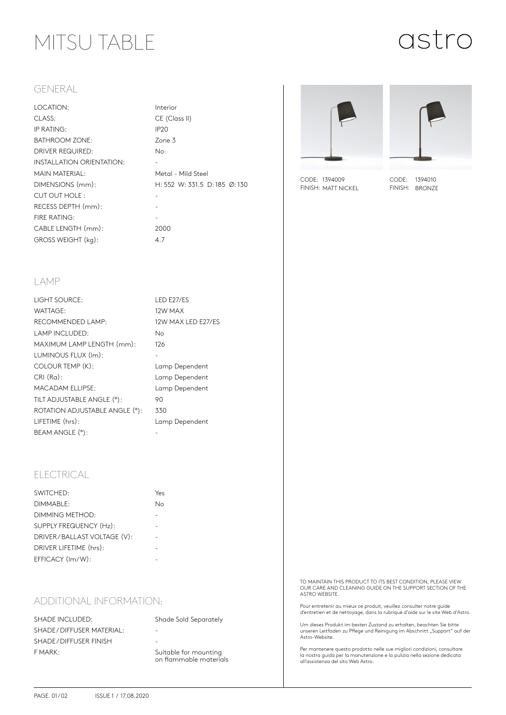### MITSU TABLE

# astro

#### GENERAL

| LOCATION:                        | Inter            |
|----------------------------------|------------------|
| CLASS:                           | CE (             |
| IP RATING:                       | IP <sub>20</sub> |
| <b>BATHROOM ZONE:</b>            | Zone             |
| <b>DRIVER REQUIRED:</b>          | No.              |
| <b>INSTALLATION ORIENTATION:</b> |                  |
| <b>MAIN MATERIAL:</b>            | Meto             |
| DIMENSIONS (mm):                 | H:5              |
| CUT OUT HOLE:                    |                  |
| RECESS DEPTH (mm):               |                  |
| FIRE RATING:                     |                  |
| CABLE LENGTH (mm):               | 200              |
| GROSS WEIGHT (kg):               | 47               |

Interior CE (Class II) Zone 3 Metal - Mild Steel H: 552 W: 331.5 D: 185 Ø: 130 2000





CODE: 1394009 FINISH: MATT NICKEL

CODE: 1394010 FINISH: BRONZE

#### LAMP

| LIGHT SOURCE:                  | <b>LED E27/ES</b>  |
|--------------------------------|--------------------|
| WATTAGE:                       | 12W MAX            |
| RECOMMENDED LAMP:              | 12W MAX LED E27/ES |
| LAMP INCLUDED:                 | Nο                 |
| MAXIMUM LAMP LENGTH (mm):      | 126                |
| LUMINOUS FLUX (Im):            |                    |
| COLOUR TEMP (K):               | Lamp Dependent     |
| $CRI(Ra)$ :                    | Lamp Dependent     |
| <b>MACADAM ELLIPSE:</b>        | Lamp Dependent     |
| TILT ADJUSTABLE ANGLE (°):     | 90                 |
| ROTATION ADJUSTABLE ANGLE (°): | 330                |
| LIFETIME (hrs):                | Lamp Dependent     |
| BEAM ANGLE (°):                |                    |

### ELECTRICAL

| SWITCHED:                   | Yes |
|-----------------------------|-----|
| DIMMABLE:                   | N٥  |
| DIMMING METHOD:             |     |
| SUPPLY FREQUENCY (Hz):      |     |
| DRIVER/BALLAST VOLTAGE (V): |     |
| DRIVER LIFETIME (hrs):      |     |
| EFFICACY (Im/W):            |     |
|                             |     |

### ADDITIONAL INFORMATION:

SHADE INCLUDED: Shade Sold Separately SHADE / DIFFUSER MATERIAL: SHADE / DIFFUSER FINISH F MARK: Suitable for mounting

on flammable materials

TO MAINTAIN THIS PRODUCT TO ITS BEST CONDITION, PLEASE VIEW OUR CARE AND CLEANING GUIDE ON THE SUPPORT SECTION OF THE ASTRO WEBSITE.

Pour entretenir au mieux ce produit, veuillez consulter notre guide d'entretien et de nettoyage, dans la rubrique d'aide sur le site Web d'Astro.

Um dieses Produkt im besten Zustand zu erhalten, beachten Sie bitte unseren Leitfaden zu Pflege und Reinigung im Abschnitt "Support" auf der<br>Astro-Website.

Per mantenere questo prodotto nelle sue migliori condizioni, consultare la nostra guida per la manutenzione e la pulizia nella sezione dedicata all'assistenza del sito Web Astro.